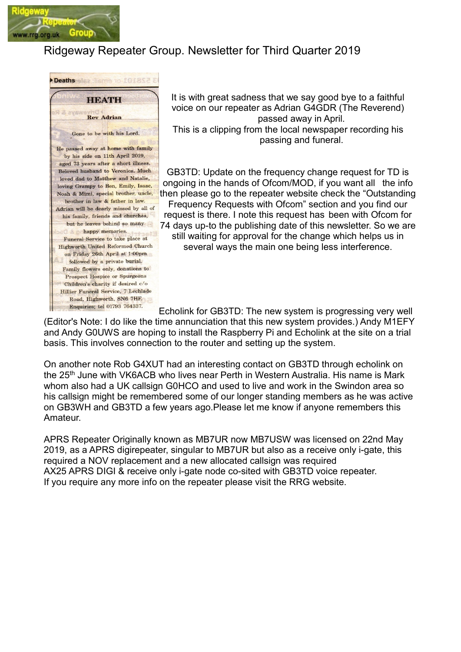

## Ridgeway Repeater Group. Newsletter for Third Quarter 2019



It is with great sadness that we say good bye to a faithful voice on our repeater as Adrian G4GDR (The Reverend) passed away in April. This is a clipping from the local newspaper recording his passing and funeral.

GB3TD: Update on the frequency change request for TD is ongoing in the hands of Ofcom/MOD, if you want all the info then please go to the repeater website check the "Outstanding Frequency Requests with Ofcom" section and you find our request is there. I note this request has been with Ofcom for 74 days up-to the publishing date of this newsletter. So we are still waiting for approval for the change which helps us in several ways the main one being less interference.

Echolink for GB3TD: The new system is progressing very well (Editor's Note: I do like the time annunciation that this new system provides.) Andy M1EFY and Andy G0UWS are hoping to install the Raspberry Pi and Echolink at the site on a trial basis. This involves connection to the router and setting up the system.

On another note Rob G4XUT had an interesting contact on GB3TD through echolink on the 25<sup>th</sup> June with VK6ACB who lives near Perth in Western Australia. His name is Mark whom also had a UK callsign G0HCO and used to live and work in the Swindon area so his callsign might be remembered some of our longer standing members as he was active on GB3WH and GB3TD a few years ago.Please let me know if anyone remembers this Amateur.

APRS Repeater Originally known as MB7UR now MB7USW was licensed on 22nd May 2019, as a APRS digirepeater, singular to MB7UR but also as a receive only i-gate, this required a NOV replacement and a new allocated callsign was required AX25 APRS DIGI & receive only i-gate node co-sited with GB3TD voice repeater. If you require any more info on the repeater please visit the RRG website.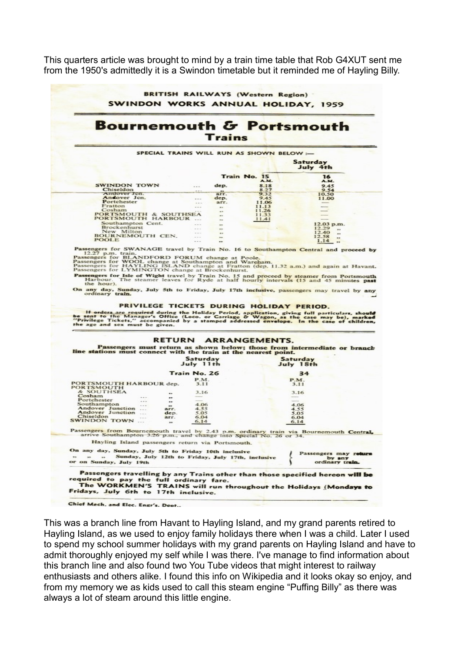This quarters article was brought to mind by a train time table that Rob G4XUT sent me from the 1950's admittedly it is a Swindon timetable but it reminded me of Hayling Billy.



This was a branch line from Havant to Hayling Island, and my grand parents retired to Hayling Island, as we used to enjoy family holidays there when I was a child. Later I used to spend my school summer holidays with my grand parents on Hayling Island and have to admit thoroughly enjoyed my self while I was there. I've manage to find information about this branch line and also found two You Tube videos that might interest to railway enthusiasts and others alike. I found this info on Wikipedia and it looks okay so enjoy, and from my memory we as kids used to call this steam engine "Puffing Billy" as there was always a lot of steam around this little engine.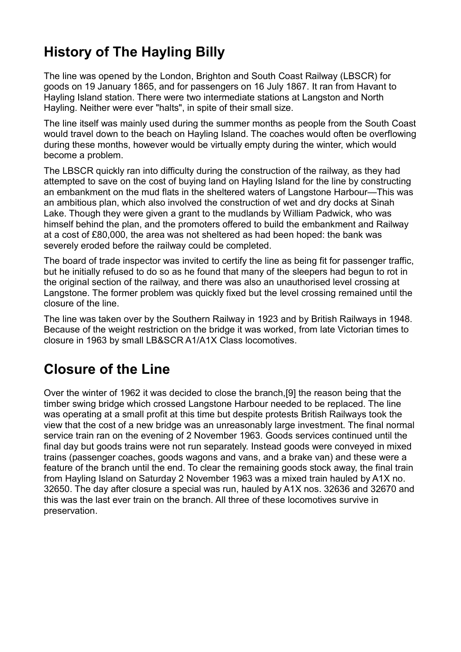# History of The Hayling Billy

The line was opened by the London, Brighton and South Coast Railway (LBSCR) for goods on 19 January 1865, and for passengers on 16 July 1867. It ran from Havant to Hayling Island station. There were two intermediate stations at Langston and North Hayling. Neither were ever "halts", in spite of their small size.

The line itself was mainly used during the summer months as people from the South Coast would travel down to the beach on Hayling Island. The coaches would often be overflowing during these months, however would be virtually empty during the winter, which would become a problem.

The LBSCR quickly ran into difficulty during the construction of the railway, as they had attempted to save on the cost of buying land on Hayling Island for the line by constructing an embankment on the mud flats in the sheltered waters of Langstone Harbour—This was an ambitious plan, which also involved the construction of wet and dry docks at Sinah Lake. Though they were given a grant to the mudlands by William Padwick, who was himself behind the plan, and the promoters offered to build the embankment and Railway at a cost of £80,000, the area was not sheltered as had been hoped: the bank was severely eroded before the railway could be completed.

The board of trade inspector was invited to certify the line as being fit for passenger traffic, but he initially refused to do so as he found that many of the sleepers had begun to rot in the original section of the railway, and there was also an unauthorised level crossing at Langstone. The former problem was quickly fixed but the level crossing remained until the closure of the line.

The line was taken over by the Southern Railway in 1923 and by British Railways in 1948. Because of the weight restriction on the bridge it was worked, from late Victorian times to closure in 1963 by small LB&SCR A1/A1X Class locomotives.

# Closure of the Line

Over the winter of 1962 it was decided to close the branch,[9] the reason being that the timber swing bridge which crossed Langstone Harbour needed to be replaced. The line was operating at a small profit at this time but despite protests British Railways took the view that the cost of a new bridge was an unreasonably large investment. The final normal service train ran on the evening of 2 November 1963. Goods services continued until the final day but goods trains were not run separately. Instead goods were conveyed in mixed trains (passenger coaches, goods wagons and vans, and a brake van) and these were a feature of the branch until the end. To clear the remaining goods stock away, the final train from Hayling Island on Saturday 2 November 1963 was a mixed train hauled by A1X no. 32650. The day after closure a special was run, hauled by A1X nos. 32636 and 32670 and this was the last ever train on the branch. All three of these locomotives survive in preservation.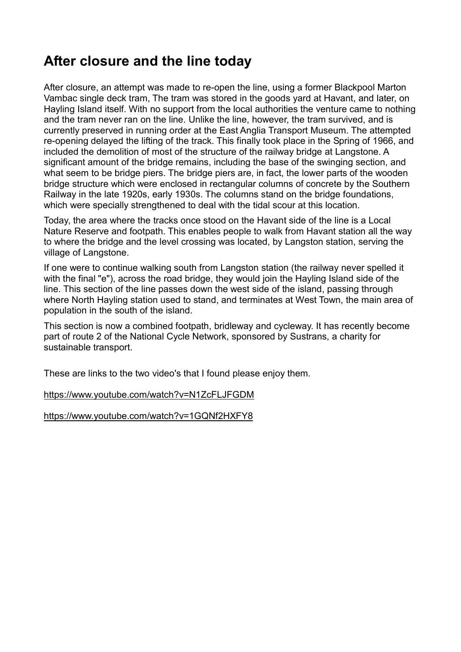## After closure and the line today

After closure, an attempt was made to re-open the line, using a former Blackpool Marton Vambac single deck tram, The tram was stored in the goods yard at Havant, and later, on Hayling Island itself. With no support from the local authorities the venture came to nothing and the tram never ran on the line. Unlike the line, however, the tram survived, and is currently preserved in running order at the East Anglia Transport Museum. The attempted re-opening delayed the lifting of the track. This finally took place in the Spring of 1966, and included the demolition of most of the structure of the railway bridge at Langstone. A significant amount of the bridge remains, including the base of the swinging section, and what seem to be bridge piers. The bridge piers are, in fact, the lower parts of the wooden bridge structure which were enclosed in rectangular columns of concrete by the Southern Railway in the late 1920s, early 1930s. The columns stand on the bridge foundations, which were specially strengthened to deal with the tidal scour at this location.

Today, the area where the tracks once stood on the Havant side of the line is a Local Nature Reserve and footpath. This enables people to walk from Havant station all the way to where the bridge and the level crossing was located, by Langston station, serving the village of Langstone.

If one were to continue walking south from Langston station (the railway never spelled it with the final "e"), across the road bridge, they would join the Hayling Island side of the line. This section of the line passes down the west side of the island, passing through where North Hayling station used to stand, and terminates at West Town, the main area of population in the south of the island.

This section is now a combined footpath, bridleway and cycleway. It has recently become part of route 2 of the National Cycle Network, sponsored by Sustrans, a charity for sustainable transport.

These are links to the two video's that I found please enjoy them.

#### https://www.youtube.com/watch?v=N1ZcFLJFGDM

https://www.youtube.com/watch?v=1GQNf2HXFY8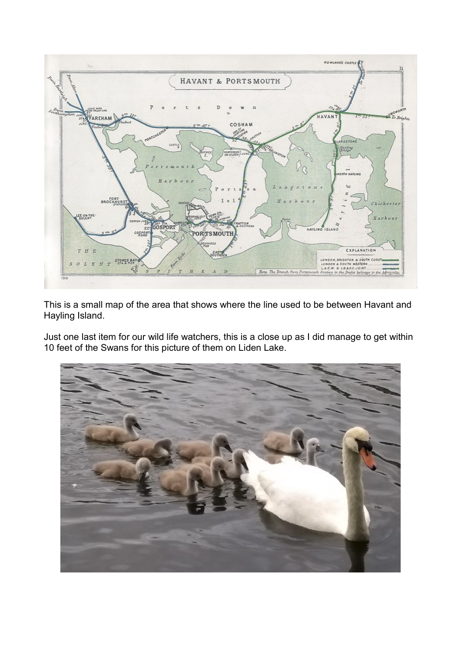

This is a small map of the area that shows where the line used to be between Havant and Hayling Island.

Just one last item for our wild life watchers, this is a close up as I did manage to get within 10 feet of the Swans for this picture of them on Liden Lake.